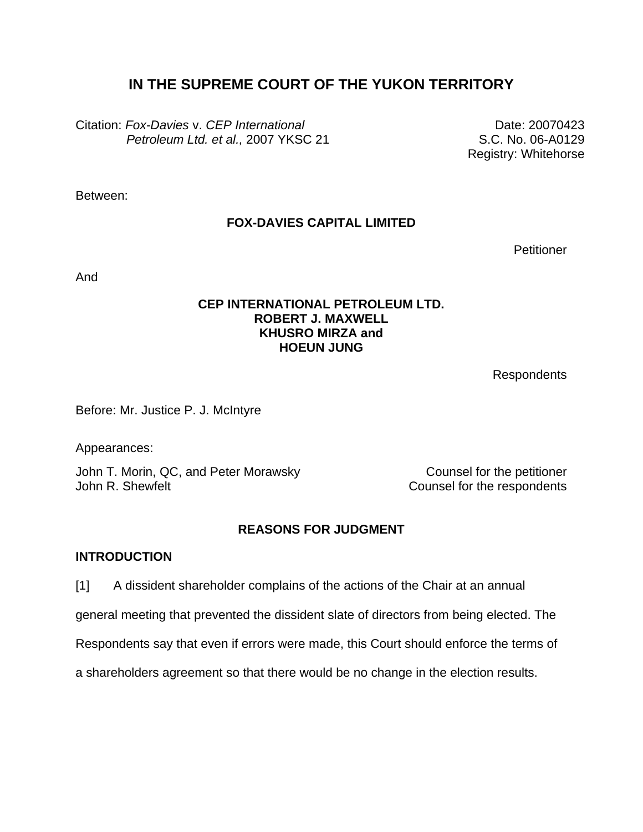# **IN THE SUPREME COURT OF THE YUKON TERRITORY**

Citation: *Fox-Davies* v. *CEP International Petroleum Ltd. et al.,* 2007 YKSC 21

Date: 20070423 S.C. No. 06-A0129 Registry: Whitehorse

Between:

## **FOX-DAVIES CAPITAL LIMITED**

**Petitioner** 

And

### **CEP INTERNATIONAL PETROLEUM LTD. ROBERT J. MAXWELL KHUSRO MIRZA and HOEUN JUNG**

Respondents

Before: Mr. Justice P. J. McIntyre

Appearances:

John T. Morin, QC, and Peter Morawsky Counsel for the petitioner John R. Shewfelt **Counsel for the respondents** 

## **REASONS FOR JUDGMENT**

### **INTRODUCTION**

[1] A dissident shareholder complains of the actions of the Chair at an annual

general meeting that prevented the dissident slate of directors from being elected. The

Respondents say that even if errors were made, this Court should enforce the terms of

a shareholders agreement so that there would be no change in the election results.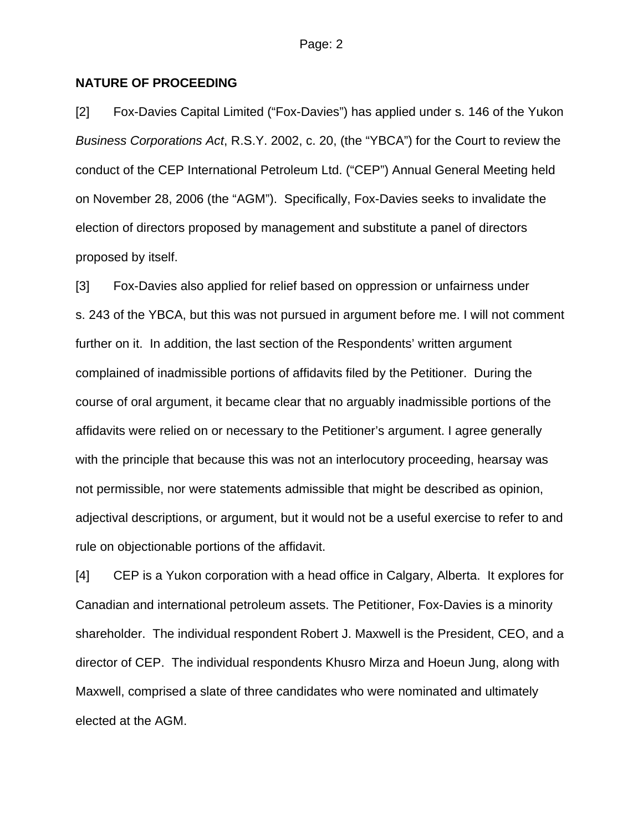### **NATURE OF PROCEEDING**

[2] Fox-Davies Capital Limited ("Fox-Davies") has applied under s. 146 of the Yukon *Business Corporations Act*, R.S.Y. 2002, c. 20, (the "YBCA") for the Court to review the conduct of the CEP International Petroleum Ltd. ("CEP") Annual General Meeting held on November 28, 2006 (the "AGM"). Specifically, Fox-Davies seeks to invalidate the election of directors proposed by management and substitute a panel of directors proposed by itself.

[3] Fox-Davies also applied for relief based on oppression or unfairness under s. 243 of the YBCA, but this was not pursued in argument before me. I will not comment further on it. In addition, the last section of the Respondents' written argument complained of inadmissible portions of affidavits filed by the Petitioner. During the course of oral argument, it became clear that no arguably inadmissible portions of the affidavits were relied on or necessary to the Petitioner's argument. I agree generally with the principle that because this was not an interlocutory proceeding, hearsay was not permissible, nor were statements admissible that might be described as opinion, adjectival descriptions, or argument, but it would not be a useful exercise to refer to and rule on objectionable portions of the affidavit.

[4] CEP is a Yukon corporation with a head office in Calgary, Alberta. It explores for Canadian and international petroleum assets. The Petitioner, Fox-Davies is a minority shareholder. The individual respondent Robert J. Maxwell is the President, CEO, and a director of CEP. The individual respondents Khusro Mirza and Hoeun Jung, along with Maxwell, comprised a slate of three candidates who were nominated and ultimately elected at the AGM.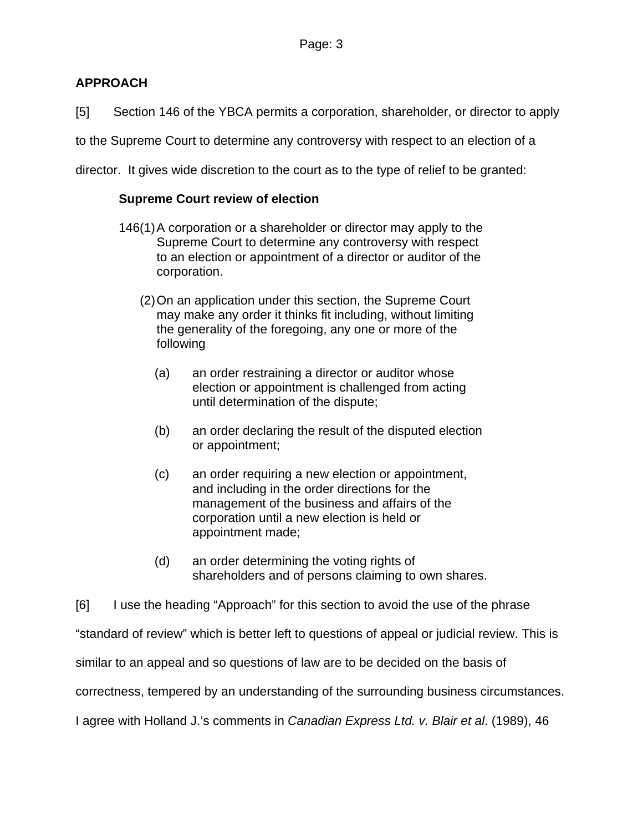## **APPROACH**

[5] Section 146 of the YBCA permits a corporation, shareholder, or director to apply

to the Supreme Court to determine any controversy with respect to an election of a

director. It gives wide discretion to the court as to the type of relief to be granted:

### **Supreme Court review of election**

- 146(1) A corporation or a shareholder or director may apply to the Supreme Court to determine any controversy with respect to an election or appointment of a director or auditor of the corporation.
	- (2) On an application under this section, the Supreme Court may make any order it thinks fit including, without limiting the generality of the foregoing, any one or more of the following
		- (a) an order restraining a director or auditor whose election or appointment is challenged from acting until determination of the dispute;
		- (b) an order declaring the result of the disputed election or appointment;
		- (c) an order requiring a new election or appointment, and including in the order directions for the management of the business and affairs of the corporation until a new election is held or appointment made;
		- (d) an order determining the voting rights of shareholders and of persons claiming to own shares.

[6] I use the heading "Approach" for this section to avoid the use of the phrase

"standard of review" which is better left to questions of appeal or judicial review. This is

similar to an appeal and so questions of law are to be decided on the basis of

correctness, tempered by an understanding of the surrounding business circumstances.

I agree with Holland J.'s comments in *Canadian Express Ltd. v. Blair et al*. (1989), 46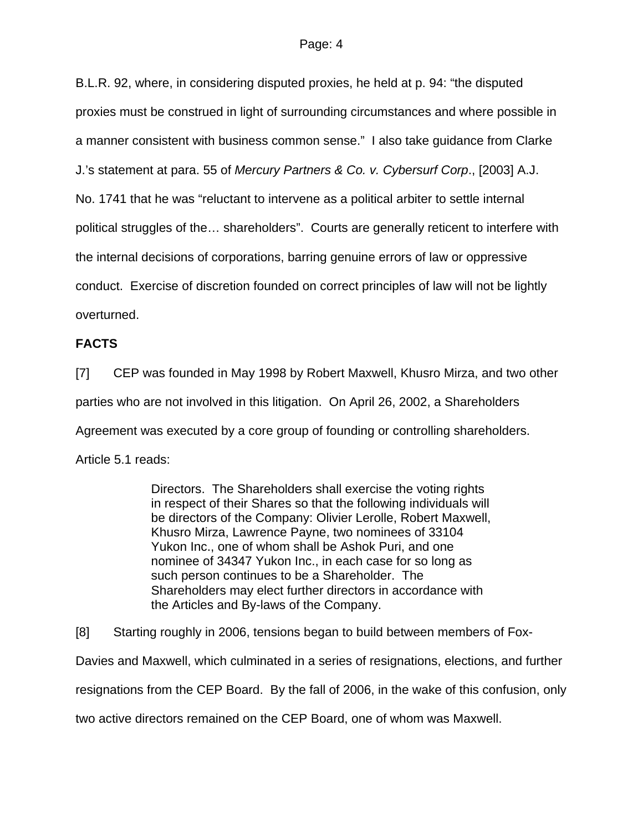B.L.R. 92, where, in considering disputed proxies, he held at p. 94: "the disputed proxies must be construed in light of surrounding circumstances and where possible in a manner consistent with business common sense." I also take guidance from Clarke J.'s statement at para. 55 of *Mercury Partners & Co. v. Cybersurf Corp*., [2003] A.J. No. 1741 that he was "reluctant to intervene as a political arbiter to settle internal political struggles of the… shareholders". Courts are generally reticent to interfere with the internal decisions of corporations, barring genuine errors of law or oppressive conduct. Exercise of discretion founded on correct principles of law will not be lightly overturned.

### **FACTS**

[7] CEP was founded in May 1998 by Robert Maxwell, Khusro Mirza, and two other parties who are not involved in this litigation. On April 26, 2002, a Shareholders Agreement was executed by a core group of founding or controlling shareholders. Article 5.1 reads:

> Directors. The Shareholders shall exercise the voting rights in respect of their Shares so that the following individuals will be directors of the Company: Olivier Lerolle, Robert Maxwell, Khusro Mirza, Lawrence Payne, two nominees of 33104 Yukon Inc., one of whom shall be Ashok Puri, and one nominee of 34347 Yukon Inc., in each case for so long as such person continues to be a Shareholder. The Shareholders may elect further directors in accordance with the Articles and By-laws of the Company.

[8] Starting roughly in 2006, tensions began to build between members of Fox-Davies and Maxwell, which culminated in a series of resignations, elections, and further resignations from the CEP Board. By the fall of 2006, in the wake of this confusion, only two active directors remained on the CEP Board, one of whom was Maxwell.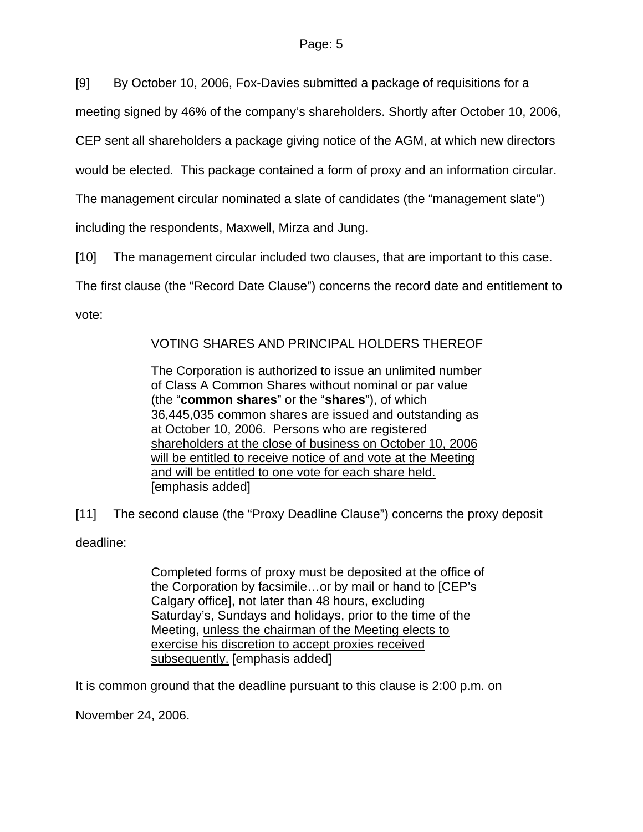[9] By October 10, 2006, Fox-Davies submitted a package of requisitions for a

meeting signed by 46% of the company's shareholders. Shortly after October 10, 2006,

CEP sent all shareholders a package giving notice of the AGM, at which new directors

would be elected. This package contained a form of proxy and an information circular.

The management circular nominated a slate of candidates (the "management slate")

including the respondents, Maxwell, Mirza and Jung.

[10] The management circular included two clauses, that are important to this case.

The first clause (the "Record Date Clause") concerns the record date and entitlement to

vote:

# VOTING SHARES AND PRINCIPAL HOLDERS THEREOF

The Corporation is authorized to issue an unlimited number of Class A Common Shares without nominal or par value (the "**common shares**" or the "**shares**"), of which 36,445,035 common shares are issued and outstanding as at October 10, 2006. Persons who are registered shareholders at the close of business on October 10, 2006 will be entitled to receive notice of and vote at the Meeting and will be entitled to one vote for each share held. [emphasis added]

[11] The second clause (the "Proxy Deadline Clause") concerns the proxy deposit

deadline:

Completed forms of proxy must be deposited at the office of the Corporation by facsimile…or by mail or hand to [CEP's Calgary office], not later than 48 hours, excluding Saturday's, Sundays and holidays, prior to the time of the Meeting, unless the chairman of the Meeting elects to exercise his discretion to accept proxies received subsequently. [emphasis added]

It is common ground that the deadline pursuant to this clause is 2:00 p.m. on

November 24, 2006.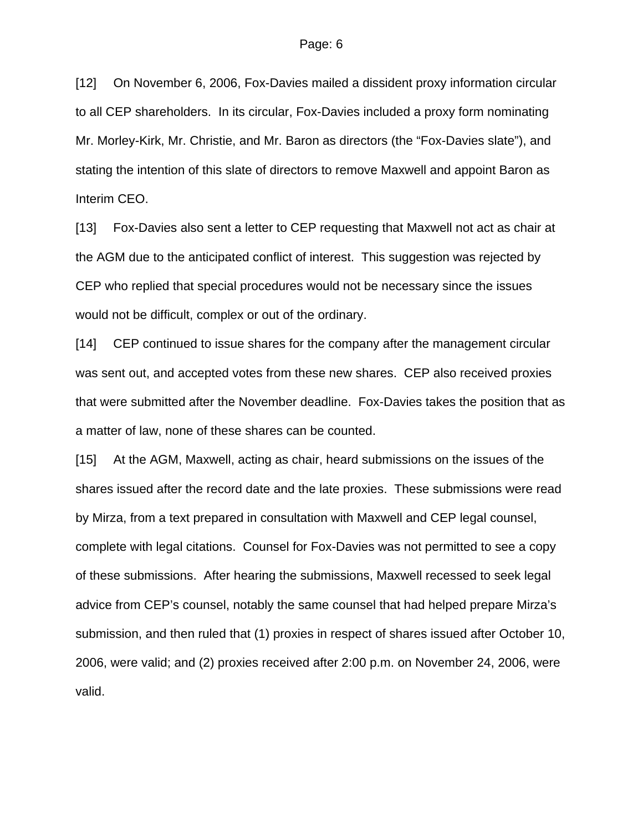[12] On November 6, 2006, Fox-Davies mailed a dissident proxy information circular to all CEP shareholders. In its circular, Fox-Davies included a proxy form nominating Mr. Morley-Kirk, Mr. Christie, and Mr. Baron as directors (the "Fox-Davies slate"), and stating the intention of this slate of directors to remove Maxwell and appoint Baron as Interim CEO.

[13] Fox-Davies also sent a letter to CEP requesting that Maxwell not act as chair at the AGM due to the anticipated conflict of interest. This suggestion was rejected by CEP who replied that special procedures would not be necessary since the issues would not be difficult, complex or out of the ordinary.

[14] CEP continued to issue shares for the company after the management circular was sent out, and accepted votes from these new shares. CEP also received proxies that were submitted after the November deadline. Fox-Davies takes the position that as a matter of law, none of these shares can be counted.

[15] At the AGM, Maxwell, acting as chair, heard submissions on the issues of the shares issued after the record date and the late proxies. These submissions were read by Mirza, from a text prepared in consultation with Maxwell and CEP legal counsel, complete with legal citations. Counsel for Fox-Davies was not permitted to see a copy of these submissions. After hearing the submissions, Maxwell recessed to seek legal advice from CEP's counsel, notably the same counsel that had helped prepare Mirza's submission, and then ruled that (1) proxies in respect of shares issued after October 10, 2006, were valid; and (2) proxies received after 2:00 p.m. on November 24, 2006, were valid.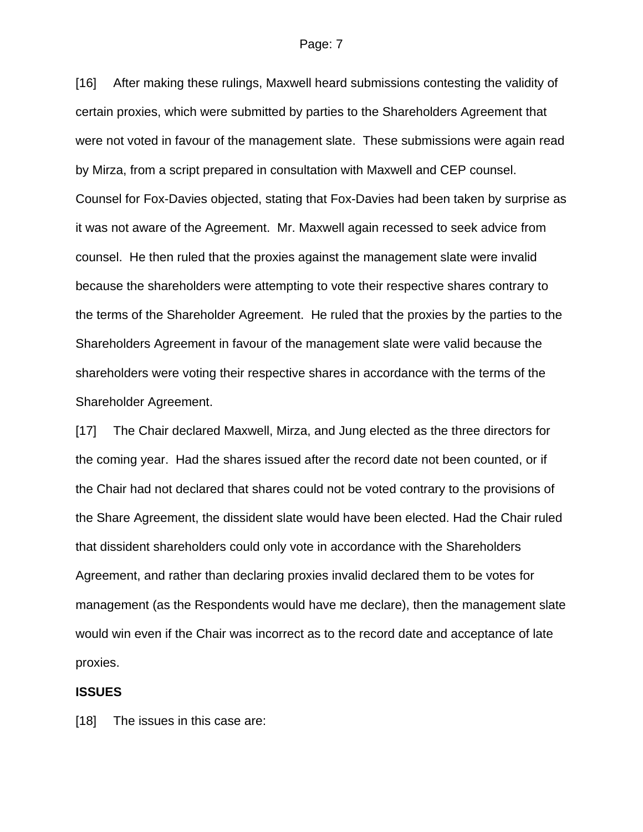#### Page: 7

[16] After making these rulings, Maxwell heard submissions contesting the validity of certain proxies, which were submitted by parties to the Shareholders Agreement that were not voted in favour of the management slate. These submissions were again read by Mirza, from a script prepared in consultation with Maxwell and CEP counsel. Counsel for Fox-Davies objected, stating that Fox-Davies had been taken by surprise as it was not aware of the Agreement. Mr. Maxwell again recessed to seek advice from counsel. He then ruled that the proxies against the management slate were invalid because the shareholders were attempting to vote their respective shares contrary to the terms of the Shareholder Agreement. He ruled that the proxies by the parties to the Shareholders Agreement in favour of the management slate were valid because the shareholders were voting their respective shares in accordance with the terms of the Shareholder Agreement.

[17] The Chair declared Maxwell, Mirza, and Jung elected as the three directors for the coming year. Had the shares issued after the record date not been counted, or if the Chair had not declared that shares could not be voted contrary to the provisions of the Share Agreement, the dissident slate would have been elected. Had the Chair ruled that dissident shareholders could only vote in accordance with the Shareholders Agreement, and rather than declaring proxies invalid declared them to be votes for management (as the Respondents would have me declare), then the management slate would win even if the Chair was incorrect as to the record date and acceptance of late proxies.

#### **ISSUES**

[18] The issues in this case are: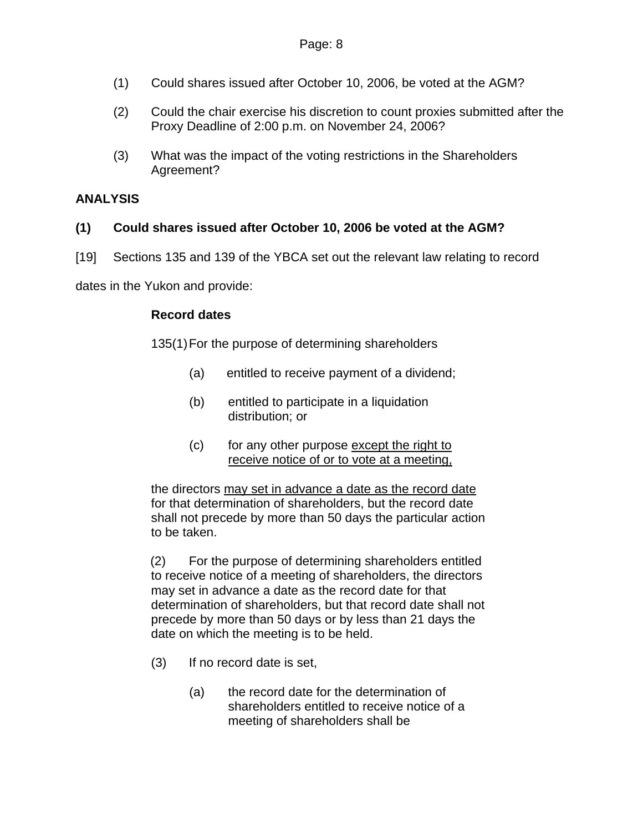- (1) Could shares issued after October 10, 2006, be voted at the AGM?
- (2) Could the chair exercise his discretion to count proxies submitted after the Proxy Deadline of 2:00 p.m. on November 24, 2006?
- (3) What was the impact of the voting restrictions in the Shareholders Agreement?

### **ANALYSIS**

### **(1) Could shares issued after October 10, 2006 be voted at the AGM?**

[19] Sections 135 and 139 of the YBCA set out the relevant law relating to record

dates in the Yukon and provide:

### **Record dates**

135(1) For the purpose of determining shareholders

- (a) entitled to receive payment of a dividend;
- (b) entitled to participate in a liquidation distribution; or
- (c) for any other purpose except the right to receive notice of or to vote at a meeting,

the directors may set in advance a date as the record date for that determination of shareholders, but the record date shall not precede by more than 50 days the particular action to be taken.

(2) For the purpose of determining shareholders entitled to receive notice of a meeting of shareholders, the directors may set in advance a date as the record date for that determination of shareholders, but that record date shall not precede by more than 50 days or by less than 21 days the date on which the meeting is to be held.

- (3) If no record date is set,
	- (a) the record date for the determination of shareholders entitled to receive notice of a meeting of shareholders shall be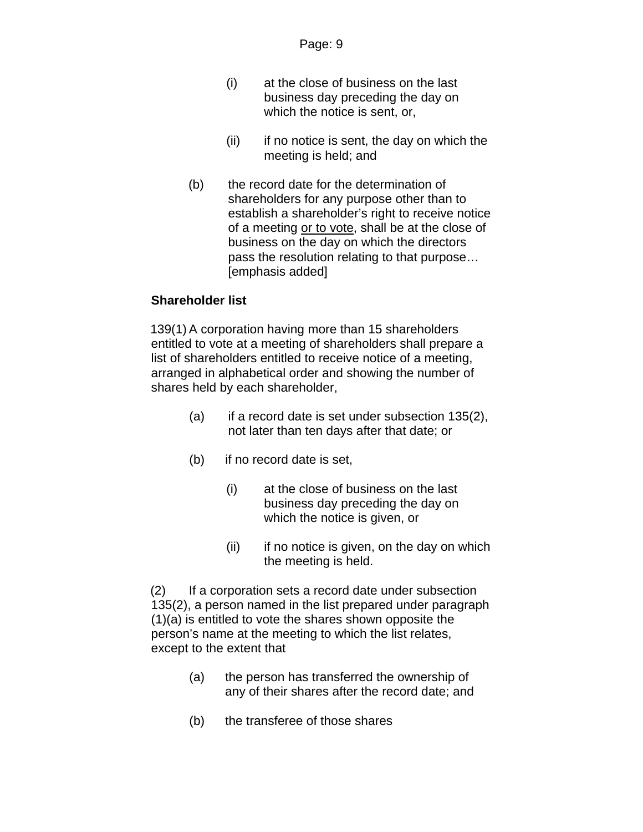- (i) at the close of business on the last business day preceding the day on which the notice is sent, or,
- $(ii)$  if no notice is sent, the day on which the meeting is held; and
- (b) the record date for the determination of shareholders for any purpose other than to establish a shareholder's right to receive notice of a meeting or to vote, shall be at the close of business on the day on which the directors pass the resolution relating to that purpose… [emphasis added]

### **Shareholder list**

139(1) A corporation having more than 15 shareholders entitled to vote at a meeting of shareholders shall prepare a list of shareholders entitled to receive notice of a meeting, arranged in alphabetical order and showing the number of shares held by each shareholder,

- (a) if a record date is set under subsection 135(2), not later than ten days after that date; or
- (b) if no record date is set,
	- (i) at the close of business on the last business day preceding the day on which the notice is given, or
	- (ii) if no notice is given, on the day on which the meeting is held.

(2) If a corporation sets a record date under subsection 135(2), a person named in the list prepared under paragraph (1)(a) is entitled to vote the shares shown opposite the person's name at the meeting to which the list relates, except to the extent that

- (a) the person has transferred the ownership of any of their shares after the record date; and
- (b) the transferee of those shares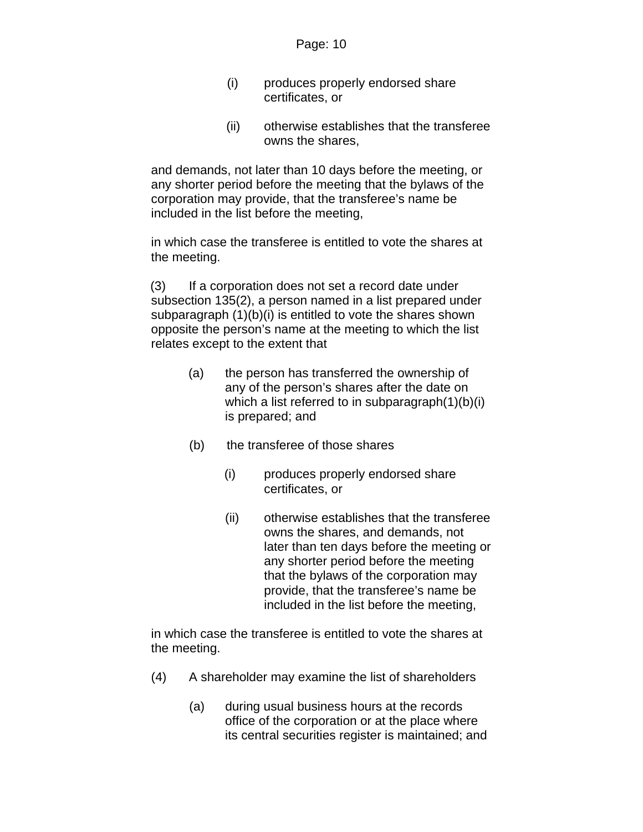- (i) produces properly endorsed share certificates, or
- (ii) otherwise establishes that the transferee owns the shares,

and demands, not later than 10 days before the meeting, or any shorter period before the meeting that the bylaws of the corporation may provide, that the transferee's name be included in the list before the meeting,

in which case the transferee is entitled to vote the shares at the meeting.

(3) If a corporation does not set a record date under subsection 135(2), a person named in a list prepared under subparagraph (1)(b)(i) is entitled to vote the shares shown opposite the person's name at the meeting to which the list relates except to the extent that

- (a) the person has transferred the ownership of any of the person's shares after the date on which a list referred to in subparagraph(1)(b)(i) is prepared; and
- (b) the transferee of those shares
	- (i) produces properly endorsed share certificates, or
	- (ii) otherwise establishes that the transferee owns the shares, and demands, not later than ten days before the meeting or any shorter period before the meeting that the bylaws of the corporation may provide, that the transferee's name be included in the list before the meeting,

in which case the transferee is entitled to vote the shares at the meeting.

- (4) A shareholder may examine the list of shareholders
	- (a) during usual business hours at the records office of the corporation or at the place where its central securities register is maintained; and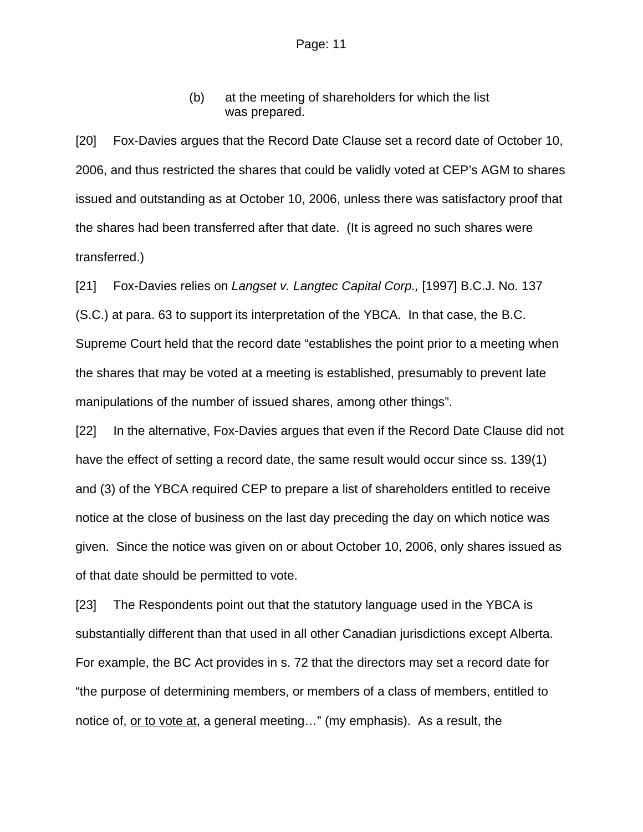(b) at the meeting of shareholders for which the list was prepared.

[20] Fox-Davies argues that the Record Date Clause set a record date of October 10, 2006, and thus restricted the shares that could be validly voted at CEP's AGM to shares issued and outstanding as at October 10, 2006, unless there was satisfactory proof that the shares had been transferred after that date. (It is agreed no such shares were transferred.)

[21] Fox-Davies relies on *Langset v. Langtec Capital Corp.,* [1997] B.C.J. No. 137 (S.C.) at para. 63 to support its interpretation of the YBCA. In that case, the B.C. Supreme Court held that the record date "establishes the point prior to a meeting when the shares that may be voted at a meeting is established, presumably to prevent late manipulations of the number of issued shares, among other things".

[22] In the alternative, Fox-Davies argues that even if the Record Date Clause did not have the effect of setting a record date, the same result would occur since ss. 139(1) and (3) of the YBCA required CEP to prepare a list of shareholders entitled to receive notice at the close of business on the last day preceding the day on which notice was given. Since the notice was given on or about October 10, 2006, only shares issued as of that date should be permitted to vote.

[23] The Respondents point out that the statutory language used in the YBCA is substantially different than that used in all other Canadian jurisdictions except Alberta. For example, the BC Act provides in s. 72 that the directors may set a record date for "the purpose of determining members, or members of a class of members, entitled to notice of, or to vote at, a general meeting…" (my emphasis). As a result, the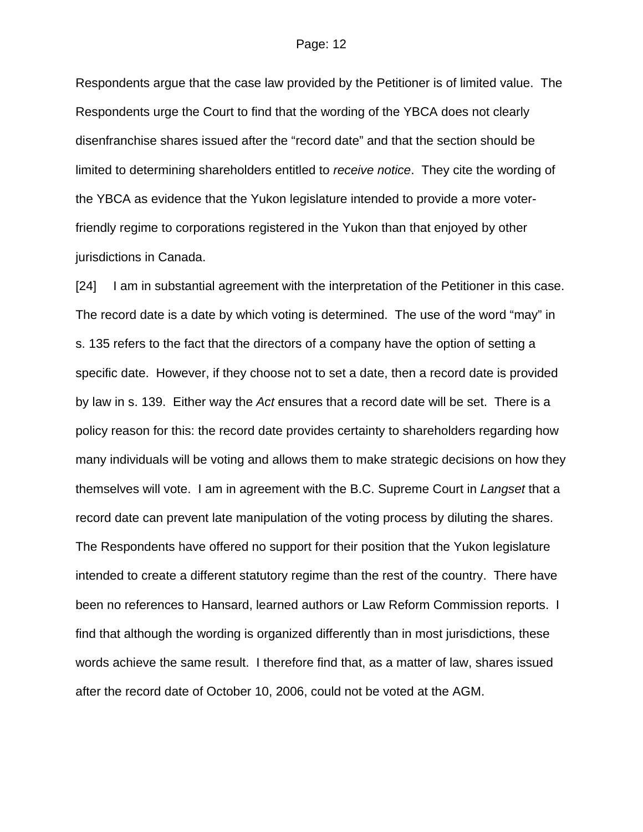Respondents argue that the case law provided by the Petitioner is of limited value. The Respondents urge the Court to find that the wording of the YBCA does not clearly disenfranchise shares issued after the "record date" and that the section should be limited to determining shareholders entitled to *receive notice*. They cite the wording of the YBCA as evidence that the Yukon legislature intended to provide a more voterfriendly regime to corporations registered in the Yukon than that enjoyed by other jurisdictions in Canada.

[24] I am in substantial agreement with the interpretation of the Petitioner in this case. The record date is a date by which voting is determined. The use of the word "may" in s. 135 refers to the fact that the directors of a company have the option of setting a specific date. However, if they choose not to set a date, then a record date is provided by law in s. 139. Either way the *Act* ensures that a record date will be set. There is a policy reason for this: the record date provides certainty to shareholders regarding how many individuals will be voting and allows them to make strategic decisions on how they themselves will vote. I am in agreement with the B.C. Supreme Court in *Langset* that a record date can prevent late manipulation of the voting process by diluting the shares. The Respondents have offered no support for their position that the Yukon legislature intended to create a different statutory regime than the rest of the country. There have been no references to Hansard, learned authors or Law Reform Commission reports. I find that although the wording is organized differently than in most jurisdictions, these words achieve the same result. I therefore find that, as a matter of law, shares issued after the record date of October 10, 2006, could not be voted at the AGM.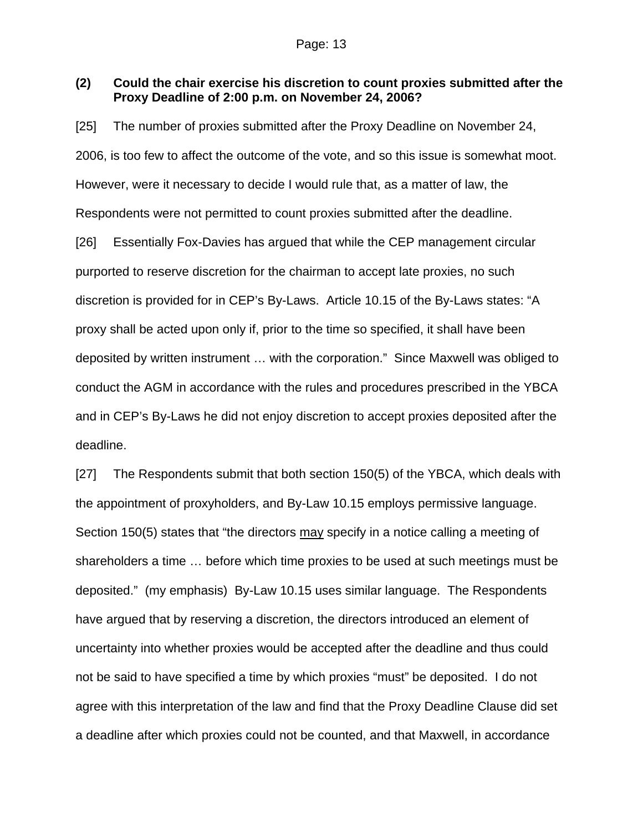### **(2) Could the chair exercise his discretion to count proxies submitted after the Proxy Deadline of 2:00 p.m. on November 24, 2006?**

[25] The number of proxies submitted after the Proxy Deadline on November 24, 2006, is too few to affect the outcome of the vote, and so this issue is somewhat moot. However, were it necessary to decide I would rule that, as a matter of law, the Respondents were not permitted to count proxies submitted after the deadline. [26] Essentially Fox-Davies has argued that while the CEP management circular purported to reserve discretion for the chairman to accept late proxies, no such discretion is provided for in CEP's By-Laws. Article 10.15 of the By-Laws states: "A proxy shall be acted upon only if, prior to the time so specified, it shall have been deposited by written instrument … with the corporation." Since Maxwell was obliged to conduct the AGM in accordance with the rules and procedures prescribed in the YBCA and in CEP's By-Laws he did not enjoy discretion to accept proxies deposited after the deadline.

[27] The Respondents submit that both section 150(5) of the YBCA, which deals with the appointment of proxyholders, and By-Law 10.15 employs permissive language. Section 150(5) states that "the directors may specify in a notice calling a meeting of shareholders a time … before which time proxies to be used at such meetings must be deposited." (my emphasis) By-Law 10.15 uses similar language. The Respondents have argued that by reserving a discretion, the directors introduced an element of uncertainty into whether proxies would be accepted after the deadline and thus could not be said to have specified a time by which proxies "must" be deposited. I do not agree with this interpretation of the law and find that the Proxy Deadline Clause did set a deadline after which proxies could not be counted, and that Maxwell, in accordance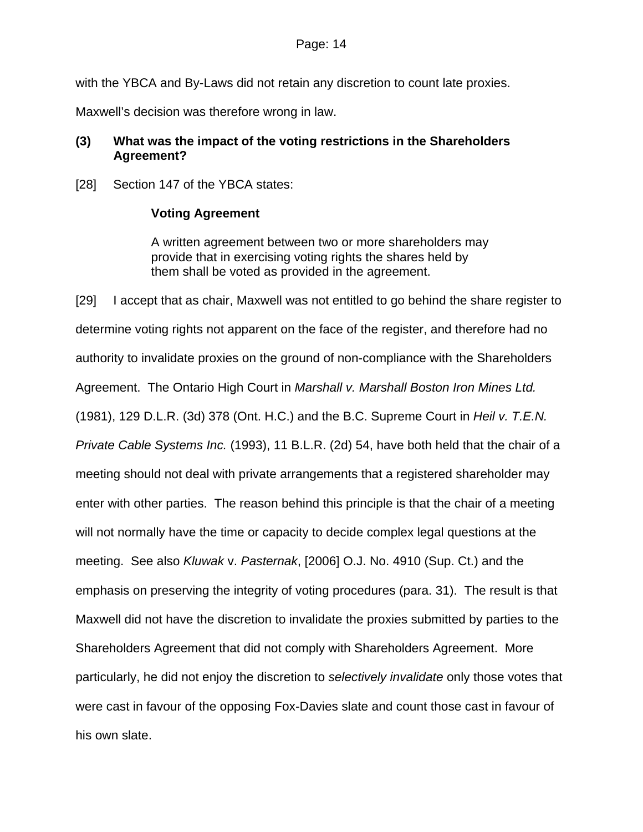with the YBCA and By-Laws did not retain any discretion to count late proxies.

Maxwell's decision was therefore wrong in law.

## **(3) What was the impact of the voting restrictions in the Shareholders Agreement?**

[28] Section 147 of the YBCA states:

### **Voting Agreement**

A written agreement between two or more shareholders may provide that in exercising voting rights the shares held by them shall be voted as provided in the agreement.

[29] I accept that as chair, Maxwell was not entitled to go behind the share register to determine voting rights not apparent on the face of the register, and therefore had no authority to invalidate proxies on the ground of non-compliance with the Shareholders Agreement. The Ontario High Court in *Marshall v. Marshall Boston Iron Mines Ltd.* (1981), 129 D.L.R. (3d) 378 (Ont. H.C.) and the B.C. Supreme Court in *Heil v. T.E.N. Private Cable Systems Inc.* (1993), 11 B.L.R. (2d) 54, have both held that the chair of a meeting should not deal with private arrangements that a registered shareholder may enter with other parties. The reason behind this principle is that the chair of a meeting will not normally have the time or capacity to decide complex legal questions at the meeting. See also *Kluwak* v. *Pasternak*, [2006] O.J. No. 4910 (Sup. Ct.) and the emphasis on preserving the integrity of voting procedures (para. 31). The result is that Maxwell did not have the discretion to invalidate the proxies submitted by parties to the Shareholders Agreement that did not comply with Shareholders Agreement. More particularly, he did not enjoy the discretion to *selectively invalidate* only those votes that were cast in favour of the opposing Fox-Davies slate and count those cast in favour of his own slate.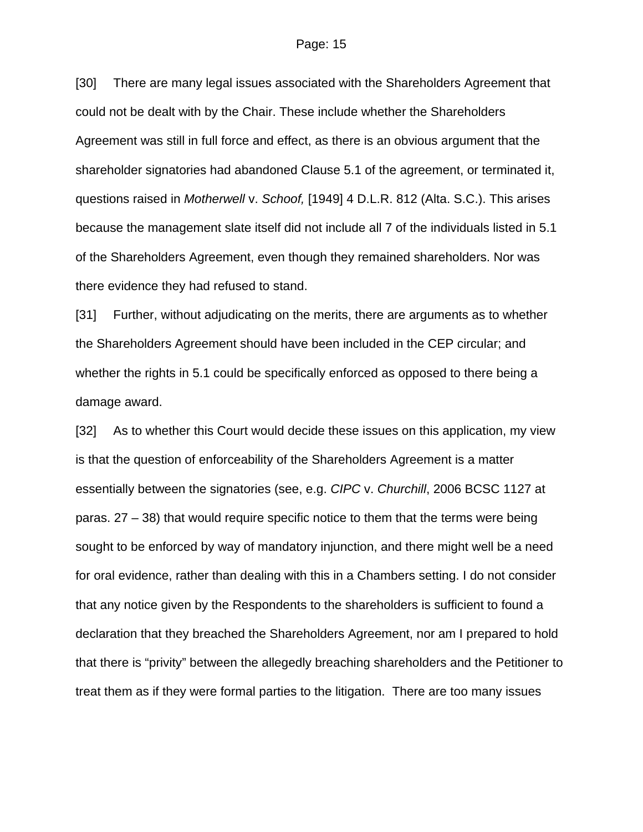#### Page: 15

[30] There are many legal issues associated with the Shareholders Agreement that could not be dealt with by the Chair. These include whether the Shareholders Agreement was still in full force and effect, as there is an obvious argument that the shareholder signatories had abandoned Clause 5.1 of the agreement, or terminated it, questions raised in *Motherwell* v. *Schoof,* [1949] 4 D.L.R. 812 (Alta. S.C.). This arises because the management slate itself did not include all 7 of the individuals listed in 5.1 of the Shareholders Agreement, even though they remained shareholders. Nor was there evidence they had refused to stand.

[31] Further, without adjudicating on the merits, there are arguments as to whether the Shareholders Agreement should have been included in the CEP circular; and whether the rights in 5.1 could be specifically enforced as opposed to there being a damage award.

[32] As to whether this Court would decide these issues on this application, my view is that the question of enforceability of the Shareholders Agreement is a matter essentially between the signatories (see, e.g. *CIPC* v. *Churchill*, 2006 BCSC 1127 at paras. 27 – 38) that would require specific notice to them that the terms were being sought to be enforced by way of mandatory injunction, and there might well be a need for oral evidence, rather than dealing with this in a Chambers setting. I do not consider that any notice given by the Respondents to the shareholders is sufficient to found a declaration that they breached the Shareholders Agreement, nor am I prepared to hold that there is "privity" between the allegedly breaching shareholders and the Petitioner to treat them as if they were formal parties to the litigation. There are too many issues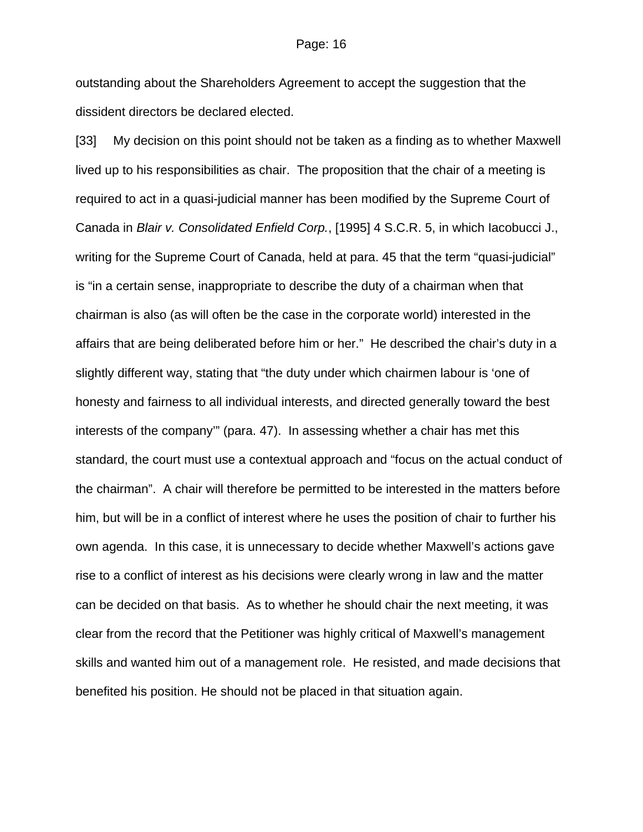outstanding about the Shareholders Agreement to accept the suggestion that the dissident directors be declared elected.

[33] My decision on this point should not be taken as a finding as to whether Maxwell lived up to his responsibilities as chair. The proposition that the chair of a meeting is required to act in a quasi-judicial manner has been modified by the Supreme Court of Canada in *Blair v. Consolidated Enfield Corp.*, [1995] 4 S.C.R. 5, in which Iacobucci J., writing for the Supreme Court of Canada, held at para. 45 that the term "quasi-judicial" is "in a certain sense, inappropriate to describe the duty of a chairman when that chairman is also (as will often be the case in the corporate world) interested in the affairs that are being deliberated before him or her." He described the chair's duty in a slightly different way, stating that "the duty under which chairmen labour is 'one of honesty and fairness to all individual interests, and directed generally toward the best interests of the company'" (para. 47). In assessing whether a chair has met this standard, the court must use a contextual approach and "focus on the actual conduct of the chairman". A chair will therefore be permitted to be interested in the matters before him, but will be in a conflict of interest where he uses the position of chair to further his own agenda. In this case, it is unnecessary to decide whether Maxwell's actions gave rise to a conflict of interest as his decisions were clearly wrong in law and the matter can be decided on that basis. As to whether he should chair the next meeting, it was clear from the record that the Petitioner was highly critical of Maxwell's management skills and wanted him out of a management role. He resisted, and made decisions that benefited his position. He should not be placed in that situation again.